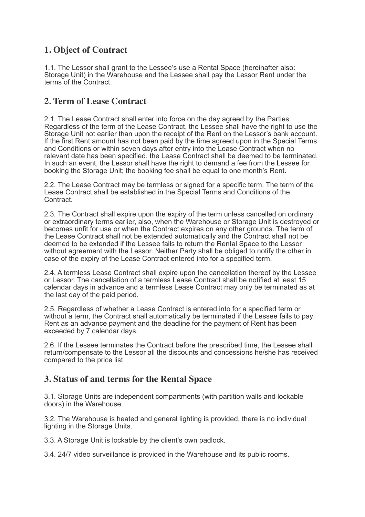# **1. Object of Contract**

1.1. The Lessor shall grant to the Lessee's use a Rental Space (hereinafter also: Storage Unit) in the Warehouse and the Lessee shall pay the Lessor Rent under the terms of the Contract.

### **2. Term of Lease Contract**

2.1. The Lease Contract shall enter into force on the day agreed by the Parties. Regardless of the term of the Lease Contract, the Lessee shall have the right to use the Storage Unit not earlier than upon the receipt of the Rent on the Lessor's bank account. If the first Rent amount has not been paid by the time agreed upon in the Special Terms and Conditions or within seven days after entry into the Lease Contract when no relevant date has been specified, the Lease Contract shall be deemed to be terminated. In such an event, the Lessor shall have the right to demand a fee from the Lessee for booking the Storage Unit; the booking fee shall be equal to one month's Rent.

2.2. The Lease Contract may be termless or signed for a specific term. The term of the Lease Contract shall be established in the Special Terms and Conditions of the Contract.

2.3. The Contract shall expire upon the expiry of the term unless cancelled on ordinary or extraordinary terms earlier, also, when the Warehouse or Storage Unit is destroyed or becomes unfit for use or when the Contract expires on any other grounds. The term of the Lease Contract shall not be extended automatically and the Contract shall not be deemed to be extended if the Lessee fails to return the Rental Space to the Lessor without agreement with the Lessor. Neither Party shall be obliged to notify the other in case of the expiry of the Lease Contract entered into for a specified term.

2.4. A termless Lease Contract shall expire upon the cancellation thereof by the Lessee or Lessor. The cancellation of a termless Lease Contract shall be notified at least 15 calendar days in advance and a termless Lease Contract may only be terminated as at the last day of the paid period.

2.5. Regardless of whether a Lease Contract is entered into for a specified term or without a term, the Contract shall automatically be terminated if the Lessee fails to pay Rent as an advance payment and the deadline for the payment of Rent has been exceeded by 7 calendar days.

2.6. If the Lessee terminates the Contract before the prescribed time, the Lessee shall return/compensate to the Lessor all the discounts and concessions he/she has received compared to the price list.

## **3. Status of and terms for the Rental Space**

3.1. Storage Units are independent compartments (with partition walls and lockable doors) in the Warehouse.

3.2. The Warehouse is heated and general lighting is provided, there is no individual lighting in the Storage Units.

3.3. A Storage Unit is lockable by the client's own padlock.

3.4. 24/7 video surveillance is provided in the Warehouse and its public rooms.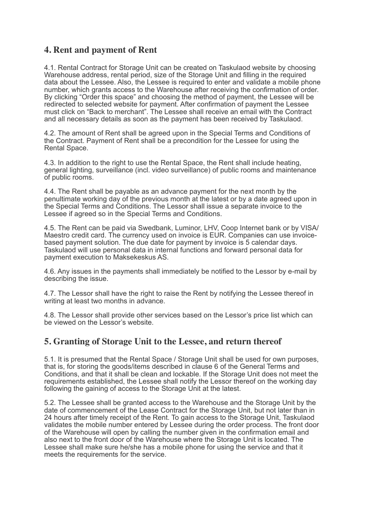#### **4. Rent and payment of Rent**

4.1. Rental Contract for Storage Unit can be created on Taskulaod website by choosing Warehouse address, rental period, size of the Storage Unit and filling in the required data about the Lessee. Also, the Lessee is required to enter and validate a mobile phone number, which grants access to the Warehouse after receiving the confirmation of order. By clicking "Order this space" and choosing the method of payment, the Lessee will be redirected to selected website for payment. After confirmation of payment the Lessee must click on "Back to merchant". The Lessee shall receive an email with the Contract and all necessary details as soon as the payment has been received by Taskulaod.

4.2. The amount of Rent shall be agreed upon in the Special Terms and Conditions of the Contract. Payment of Rent shall be a precondition for the Lessee for using the Rental Space.

4.3. In addition to the right to use the Rental Space, the Rent shall include heating, general lighting, surveillance (incl. video surveillance) of public rooms and maintenance of public rooms.

4.4. The Rent shall be payable as an advance payment for the next month by the penultimate working day of the previous month at the latest or by a date agreed upon in the Special Terms and Conditions. The Lessor shall issue a separate invoice to the Lessee if agreed so in the Special Terms and Conditions.

4.5. The Rent can be paid via Swedbank, Luminor, LHV, Coop Internet bank or by VISA/ Maestro credit card. The currency used on invoice is EUR. Companies can use invoicebased payment solution. The due date for payment by invoice is 5 calendar days. Taskulaod will use personal data in internal functions and forward personal data for payment execution to Maksekeskus AS.

4.6. Any issues in the payments shall immediately be notified to the Lessor by e-mail by describing the issue.

4.7. The Lessor shall have the right to raise the Rent by notifying the Lessee thereof in writing at least two months in advance.

4.8. The Lessor shall provide other services based on the Lessor's price list which can be viewed on the Lessor's website.

#### **5. Granting of Storage Unit to the Lessee, and return thereof**

5.1. It is presumed that the Rental Space / Storage Unit shall be used for own purposes, that is, for storing the goods/items described in clause 6 of the General Terms and Conditions, and that it shall be clean and lockable. If the Storage Unit does not meet the requirements established, the Lessee shall notify the Lessor thereof on the working day following the gaining of access to the Storage Unit at the latest.

5.2. The Lessee shall be granted access to the Warehouse and the Storage Unit by the date of commencement of the Lease Contract for the Storage Unit, but not later than in 24 hours after timely receipt of the Rent. To gain access to the Storage Unit, Taskulaod validates the mobile number entered by Lessee during the order process. The front door of the Warehouse will open by calling the number given in the confirmation email and also next to the front door of the Warehouse where the Storage Unit is located. The Lessee shall make sure he/she has a mobile phone for using the service and that it meets the requirements for the service.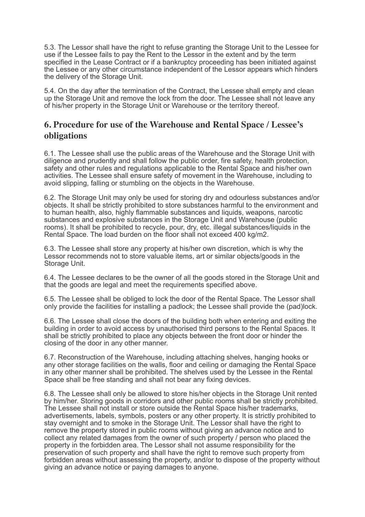5.3. The Lessor shall have the right to refuse granting the Storage Unit to the Lessee for use if the Lessee fails to pay the Rent to the Lessor in the extent and by the term specified in the Lease Contract or if a bankruptcy proceeding has been initiated against the Lessee or any other circumstance independent of the Lessor appears which hinders the delivery of the Storage Unit.

5.4. On the day after the termination of the Contract, the Lessee shall empty and clean up the Storage Unit and remove the lock from the door. The Lessee shall not leave any of his/her property in the Storage Unit or Warehouse or the territory thereof.

#### **6. Procedure for use of the Warehouse and Rental Space / Lessee's obligations**

6.1. The Lessee shall use the public areas of the Warehouse and the Storage Unit with diligence and prudently and shall follow the public order, fire safety, health protection, safety and other rules and regulations applicable to the Rental Space and his/her own activities. The Lessee shall ensure safety of movement in the Warehouse, including to avoid slipping, falling or stumbling on the objects in the Warehouse.

6.2. The Storage Unit may only be used for storing dry and odourless substances and/or objects. It shall be strictly prohibited to store substances harmful to the environment and to human health, also, highly flammable substances and liquids, weapons, narcotic substances and explosive substances in the Storage Unit and Warehouse (public rooms). It shall be prohibited to recycle, pour, dry, etc. illegal substances/liquids in the Rental Space. The load burden on the floor shall not exceed 400 kg/m2.

6.3. The Lessee shall store any property at his/her own discretion, which is why the Lessor recommends not to store valuable items, art or similar objects/goods in the Storage Unit.

6.4. The Lessee declares to be the owner of all the goods stored in the Storage Unit and that the goods are legal and meet the requirements specified above.

6.5. The Lessee shall be obliged to lock the door of the Rental Space. The Lessor shall only provide the facilities for installing a padlock; the Lessee shall provide the (pad)lock.

6.6. The Lessee shall close the doors of the building both when entering and exiting the building in order to avoid access by unauthorised third persons to the Rental Spaces. It shall be strictly prohibited to place any objects between the front door or hinder the closing of the door in any other manner.

6.7. Reconstruction of the Warehouse, including attaching shelves, hanging hooks or any other storage facilities on the walls, floor and ceiling or damaging the Rental Space in any other manner shall be prohibited. The shelves used by the Lessee in the Rental Space shall be free standing and shall not bear any fixing devices.

6.8. The Lessee shall only be allowed to store his/her objects in the Storage Unit rented by him/her. Storing goods in corridors and other public rooms shall be strictly prohibited. The Lessee shall not install or store outside the Rental Space his/her trademarks, advertisements, labels, symbols, posters or any other property. It is strictly prohibited to stay overnight and to smoke in the Storage Unit. The Lessor shall have the right to remove the property stored in public rooms without giving an advance notice and to collect any related damages from the owner of such property / person who placed the property in the forbidden area. The Lessor shall not assume responsibility for the preservation of such property and shall have the right to remove such property from forbidden areas without assessing the property, and/or to dispose of the property without giving an advance notice or paying damages to anyone.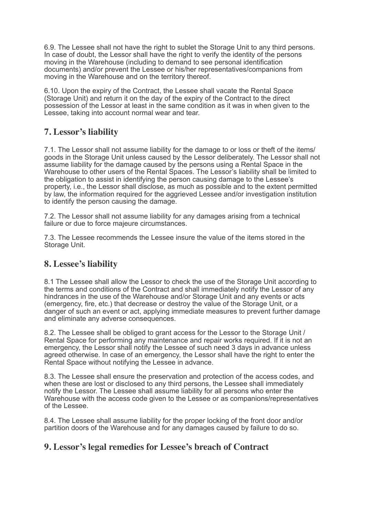6.9. The Lessee shall not have the right to sublet the Storage Unit to any third persons. In case of doubt, the Lessor shall have the right to verify the identity of the persons moving in the Warehouse (including to demand to see personal identification documents) and/or prevent the Lessee or his/her representatives/companions from moving in the Warehouse and on the territory thereof.

6.10. Upon the expiry of the Contract, the Lessee shall vacate the Rental Space (Storage Unit) and return it on the day of the expiry of the Contract to the direct possession of the Lessor at least in the same condition as it was in when given to the Lessee, taking into account normal wear and tear.

## **7. Lessor's liability**

7.1. The Lessor shall not assume liability for the damage to or loss or theft of the items/ goods in the Storage Unit unless caused by the Lessor deliberately. The Lessor shall not assume liability for the damage caused by the persons using a Rental Space in the Warehouse to other users of the Rental Spaces. The Lessor's liability shall be limited to the obligation to assist in identifying the person causing damage to the Lessee's property, i.e., the Lessor shall disclose, as much as possible and to the extent permitted by law, the information required for the aggrieved Lessee and/or investigation institution to identify the person causing the damage.

7.2. The Lessor shall not assume liability for any damages arising from a technical failure or due to force majeure circumstances.

7.3. The Lessee recommends the Lessee insure the value of the items stored in the Storage Unit.

## **8. Lessee's liability**

8.1 The Lessee shall allow the Lessor to check the use of the Storage Unit according to the terms and conditions of the Contract and shall immediately notify the Lessor of any hindrances in the use of the Warehouse and/or Storage Unit and any events or acts (emergency, fire, etc.) that decrease or destroy the value of the Storage Unit, or a danger of such an event or act, applying immediate measures to prevent further damage and eliminate any adverse consequences.

8.2. The Lessee shall be obliged to grant access for the Lessor to the Storage Unit / Rental Space for performing any maintenance and repair works required. If it is not an emergency, the Lessor shall notify the Lessee of such need 3 days in advance unless agreed otherwise. In case of an emergency, the Lessor shall have the right to enter the Rental Space without notifying the Lessee in advance.

8.3. The Lessee shall ensure the preservation and protection of the access codes, and when these are lost or disclosed to any third persons, the Lessee shall immediately notify the Lessor. The Lessee shall assume liability for all persons who enter the Warehouse with the access code given to the Lessee or as companions/representatives of the Lessee.

8.4. The Lessee shall assume liability for the proper locking of the front door and/or partition doors of the Warehouse and for any damages caused by failure to do so.

## **9. Lessor's legal remedies for Lessee's breach of Contract**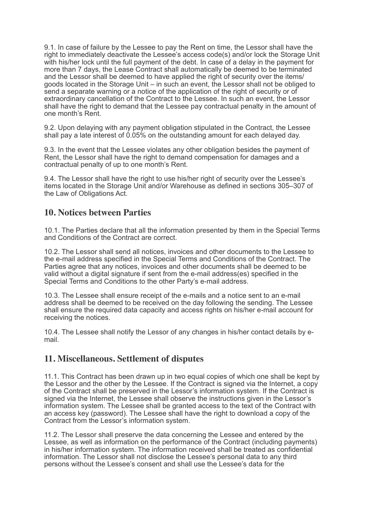9.1. In case of failure by the Lessee to pay the Rent on time, the Lessor shall have the right to immediately deactivate the Lessee's access code(s) and/or lock the Storage Unit with his/her lock until the full payment of the debt. In case of a delay in the payment for more than 7 days, the Lease Contract shall automatically be deemed to be terminated and the Lessor shall be deemed to have applied the right of security over the items/ goods located in the Storage Unit – in such an event, the Lessor shall not be obliged to send a separate warning or a notice of the application of the right of security or of extraordinary cancellation of the Contract to the Lessee. In such an event, the Lessor shall have the right to demand that the Lessee pay contractual penalty in the amount of one month's Rent.

9.2. Upon delaying with any payment obligation stipulated in the Contract, the Lessee shall pay a late interest of 0.05% on the outstanding amount for each delayed day.

9.3. In the event that the Lessee violates any other obligation besides the payment of Rent, the Lessor shall have the right to demand compensation for damages and a contractual penalty of up to one month's Rent.

9.4. The Lessor shall have the right to use his/her right of security over the Lessee's items located in the Storage Unit and/or Warehouse as defined in sections 305–307 of the Law of Obligations Act.

#### **10. Notices between Parties**

10.1. The Parties declare that all the information presented by them in the Special Terms and Conditions of the Contract are correct.

10.2. The Lessor shall send all notices, invoices and other documents to the Lessee to the e-mail address specified in the Special Terms and Conditions of the Contract. The Parties agree that any notices, invoices and other documents shall be deemed to be valid without a digital signature if sent from the e-mail address(es) specified in the Special Terms and Conditions to the other Party's e-mail address.

10.3. The Lessee shall ensure receipt of the e-mails and a notice sent to an e-mail address shall be deemed to be received on the day following the sending. The Lessee shall ensure the required data capacity and access rights on his/her e-mail account for receiving the notices.

10.4. The Lessee shall notify the Lessor of any changes in his/her contact details by email.

#### **11. Miscellaneous. Settlement of disputes**

11.1. This Contract has been drawn up in two equal copies of which one shall be kept by the Lessor and the other by the Lessee. If the Contract is signed via the Internet, a copy of the Contract shall be preserved in the Lessor's information system. If the Contract is signed via the Internet, the Lessee shall observe the instructions given in the Lessor's information system. The Lessee shall be granted access to the text of the Contract with an access key (password). The Lessee shall have the right to download a copy of the Contract from the Lessor's information system.

11.2. The Lessor shall preserve the data concerning the Lessee and entered by the Lessee, as well as information on the performance of the Contract (including payments) in his/her information system. The information received shall be treated as confidential information. The Lessor shall not disclose the Lessee's personal data to any third persons without the Lessee's consent and shall use the Lessee's data for the